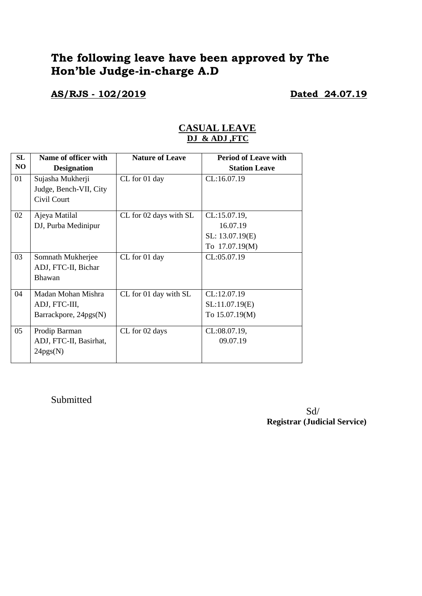# **The following leave have been approved by The Hon'ble Judge-in-charge A.D**

**AS/RJS - 102/2019 Dated 24.07.19**

#### **CASUAL LEAVE DJ & ADJ ,FTC**

| <b>SL</b> | Name of officer with   | <b>Nature of Leave</b> | <b>Period of Leave with</b> |
|-----------|------------------------|------------------------|-----------------------------|
| NO        | <b>Designation</b>     |                        | <b>Station Leave</b>        |
| 01        | Sujasha Mukherji       | CL for 01 day          | CL:16.07.19                 |
|           | Judge, Bench-VII, City |                        |                             |
|           | Civil Court            |                        |                             |
| 02        | Ajeya Matilal          | CL for 02 days with SL | CL:15.07.19,                |
|           | DJ, Purba Medinipur    |                        | 16.07.19                    |
|           |                        |                        | SL: 13.07.19(E)             |
|           |                        |                        | To 17.07.19(M)              |
| 03        | Somnath Mukherjee      | CL for 01 day          | CL:05.07.19                 |
|           | ADJ, FTC-II, Bichar    |                        |                             |
|           | Bhawan                 |                        |                             |
| 04        | Madan Mohan Mishra     | CL for 01 day with SL  | CL:12.07.19                 |
|           | ADJ, FTC-III,          |                        | SL:11.07.19(E)              |
|           | Barrackpore, 24pgs(N)  |                        | To 15.07.19(M)              |
| 05        | Prodip Barman          | CL for 02 days         | CL:08.07.19,                |
|           | ADJ, FTC-II, Basirhat, |                        | 09.07.19                    |
|           | 24pgs(N)               |                        |                             |
|           |                        |                        |                             |

Submitted

Sd/ **Registrar (Judicial Service)**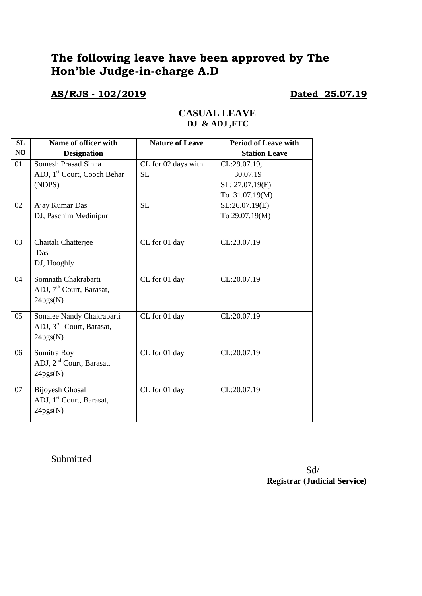# **The following leave have been approved by The Hon'ble Judge-in-charge A.D**

**AS/RJS - 102/2019 Dated 25.07.19** 

| SL | Name of officer with                    | <b>Nature of Leave</b> | <b>Period of Leave with</b> |
|----|-----------------------------------------|------------------------|-----------------------------|
| NO | <b>Designation</b>                      |                        | <b>Station Leave</b>        |
| 01 | Somesh Prasad Sinha                     | CL for 02 days with    | CL:29.07.19,                |
|    | ADJ, 1 <sup>st</sup> Court, Cooch Behar | <b>SL</b>              | 30.07.19                    |
|    | (NDPS)                                  |                        | SL: 27.07.19(E)             |
|    |                                         |                        | To 31.07.19(M)              |
| 02 | Ajay Kumar Das                          | <b>SL</b>              | SL:26.07.19(E)              |
|    | DJ, Paschim Medinipur                   |                        | To 29.07.19(M)              |
|    |                                         |                        |                             |
| 03 | Chaitali Chatterjee                     | CL for 01 day          | CL:23.07.19                 |
|    | Das                                     |                        |                             |
|    | DJ, Hooghly                             |                        |                             |
|    |                                         |                        |                             |
| 04 | Somnath Chakrabarti                     | CL for 01 day          | CL:20.07.19                 |
|    | ADJ, 7 <sup>th</sup> Court, Barasat,    |                        |                             |
|    | 24pgs(N)                                |                        |                             |
| 05 | Sonalee Nandy Chakrabarti               | CL for 01 day          | CL:20.07.19                 |
|    | ADJ, 3rd Court, Barasat,                |                        |                             |
|    | 24pgs(N)                                |                        |                             |
|    |                                         |                        |                             |
| 06 | Sumitra Roy                             | CL for 01 day          | CL:20.07.19                 |
|    | ADJ, 2 <sup>nd</sup> Court, Barasat,    |                        |                             |
|    | 24pgs(N)                                |                        |                             |
| 07 | <b>Bijoyesh Ghosal</b>                  | CL for 01 day          | CL:20.07.19                 |
|    | ADJ, 1 <sup>st</sup> Court, Barasat,    |                        |                             |
|    | 24pgs(N)                                |                        |                             |
|    |                                         |                        |                             |

#### **CASUAL LEAVE DJ & ADJ ,FTC**

Submitted

Sd/ **Registrar (Judicial Service)**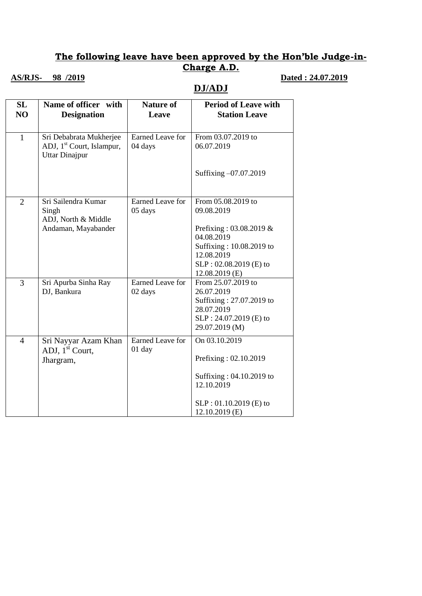## **The following leave have been approved by the Hon'ble Judge-in-Charge A.D.**

## **AS/RJS-** 98 /2019 **Dated : 24.07.2019**

**DJ/ADJ**

| SL<br>NO       | Name of officer with<br><b>Designation</b>                                                | <b>Nature of</b><br>Leave          | <b>Period of Leave with</b><br><b>Station Leave</b>                                                                              |
|----------------|-------------------------------------------------------------------------------------------|------------------------------------|----------------------------------------------------------------------------------------------------------------------------------|
| $\mathbf{1}$   | Sri Debabrata Mukherjee<br>ADJ, 1 <sup>st</sup> Court, Islampur,<br><b>Uttar Dinajpur</b> | <b>Earned Leave for</b><br>04 days | From 03.07.2019 to<br>06.07.2019                                                                                                 |
|                |                                                                                           |                                    | Suffixing -07.07.2019                                                                                                            |
| $\overline{2}$ | Sri Sailendra Kumar<br>Singh<br>ADJ, North & Middle                                       | Earned Leave for<br>05 days        | From 05.08.2019 to<br>09.08.2019                                                                                                 |
|                | Andaman, Mayabander                                                                       |                                    | Prefixing: $03.08.2019 \&$<br>04.08.2019<br>Suffixing: 10.08.2019 to<br>12.08.2019<br>SLP: 02.08.2019 (E) to<br>$12.08.2019$ (E) |
| 3              | Sri Apurba Sinha Ray<br>DJ, Bankura                                                       | <b>Earned Leave for</b><br>02 days | From 25.07.2019 to<br>26.07.2019<br>Suffixing: 27.07.2019 to<br>28.07.2019<br>SLP: 24.07.2019 (E) to<br>29.07.2019 (M)           |
| $\overline{4}$ | Sri Nayyar Azam Khan<br>ADJ, 1 <sup>st</sup> Court,<br>Jhargram,                          | Earned Leave for<br>01 day         | On 03.10.2019<br>Prefixing: 02.10.2019<br>Suffixing: 04.10.2019 to<br>12.10.2019                                                 |
|                |                                                                                           |                                    | SLP: 01.10.2019 (E) to<br>$12.10.2019$ (E)                                                                                       |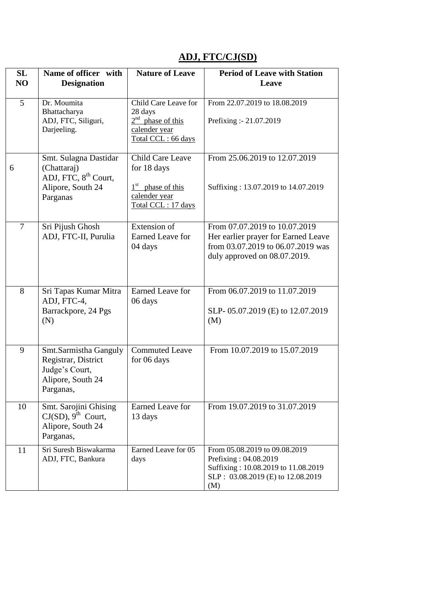## **ADJ, FTC/CJ(SD)**

| SL<br>N <sub>O</sub> | Name of officer with<br><b>Designation</b>                                                                | <b>Nature of Leave</b>                                                                        | <b>Period of Leave with Station</b><br>Leave                                                                                              |
|----------------------|-----------------------------------------------------------------------------------------------------------|-----------------------------------------------------------------------------------------------|-------------------------------------------------------------------------------------------------------------------------------------------|
| 5                    | Dr. Moumita<br>Bhattacharya<br>ADJ, FTC, Siliguri,<br>Darjeeling.                                         | Child Care Leave for<br>28 days<br>$2nd$ phase of this<br>calender year<br>Total CCL: 66 days | From 22.07.2019 to 18.08.2019<br>Prefixing :- 21.07.2019                                                                                  |
| 6                    | Smt. Sulagna Dastidar<br>(Chattaraj)<br>ADJ, FTC, 8 <sup>th</sup> Court,<br>Alipore, South 24<br>Parganas | Child Care Leave<br>for 18 days<br>$1st$ phase of this<br>calender year<br>Total CCL: 17 days | From 25.06.2019 to 12.07.2019<br>Suffixing: 13.07.2019 to 14.07.2019                                                                      |
| $\overline{7}$       | Sri Pijush Ghosh<br>ADJ, FTC-II, Purulia                                                                  | <b>Extension</b> of<br><b>Earned Leave for</b><br>04 days                                     | From 07.07.2019 to 10.07.2019<br>Her earlier prayer for Earned Leave<br>from 03.07.2019 to 06.07.2019 was<br>duly approved on 08.07.2019. |
| 8                    | Sri Tapas Kumar Mitra<br>ADJ, FTC-4,<br>Barrackpore, 24 Pgs<br>(N)                                        | <b>Earned Leave for</b><br>06 days                                                            | From 06.07.2019 to 11.07.2019<br>SLP-05.07.2019 (E) to 12.07.2019<br>(M)                                                                  |
| 9                    | Smt.Sarmistha Ganguly<br>Registrar, District<br>Judge's Court,<br>Alipore, South 24<br>Parganas,          | <b>Commuted Leave</b><br>for 06 days                                                          | From 10.07.2019 to 15.07.2019                                                                                                             |
| 10                   | Smt. Sarojini Ghising<br>$CJ(SD)$ , 9 <sup>th</sup> Court,<br>Alipore, South 24<br>Parganas,              | Earned Leave for<br>13 days                                                                   | From 19.07.2019 to 31.07.2019                                                                                                             |
| 11                   | Sri Suresh Biswakarma<br>ADJ, FTC, Bankura                                                                | Earned Leave for 05<br>days                                                                   | From 05.08.2019 to 09.08.2019<br>Prefixing: 04.08.2019<br>Suffixing: 10.08.2019 to 11.08.2019<br>SLP: 03.08.2019 (E) to 12.08.2019<br>(M) |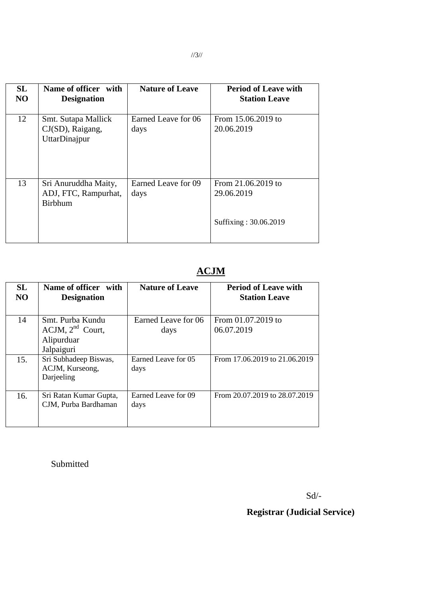| <b>SL</b><br>N <sub>O</sub> | Name of officer with<br><b>Designation</b>                     | <b>Nature of Leave</b>      | <b>Period of Leave with</b><br><b>Station Leave</b>       |
|-----------------------------|----------------------------------------------------------------|-----------------------------|-----------------------------------------------------------|
| 12                          | Smt. Sutapa Mallick<br>CJ(SD), Raigang,<br>UttarDinajpur       | Earned Leave for 06<br>days | From 15.06.2019 to<br>20.06.2019                          |
| 13                          | Sri Anuruddha Maity,<br>ADJ, FTC, Rampurhat,<br><b>Birbhum</b> | Earned Leave for 09<br>days | From 21.06.2019 to<br>29.06.2019<br>Suffixing: 30.06.2019 |

# **ACJM**

| <b>SL</b><br>N <sub>O</sub> | Name of officer with<br><b>Designation</b>                            | <b>Nature of Leave</b>      | <b>Period of Leave with</b><br><b>Station Leave</b> |
|-----------------------------|-----------------------------------------------------------------------|-----------------------------|-----------------------------------------------------|
| 14                          | Smt. Purba Kundu<br>$ACJM$ , $2nd$ Court,<br>Alipurduar<br>Jalpaiguri | Earned Leave for 06<br>days | From 01.07.2019 to<br>06.07.2019                    |
| 15.                         | Sri Subhadeep Biswas,<br>ACJM, Kurseong,<br>Darjeeling                | Earned Leave for 05<br>days | From 17.06.2019 to 21.06.2019                       |
| 16.                         | Sri Ratan Kumar Gupta,<br>CJM, Purba Bardhaman                        | Earned Leave for 09<br>days | From 20.07.2019 to 28.07.2019                       |

Submitted

Sd/-

## **Registrar (Judicial Service)**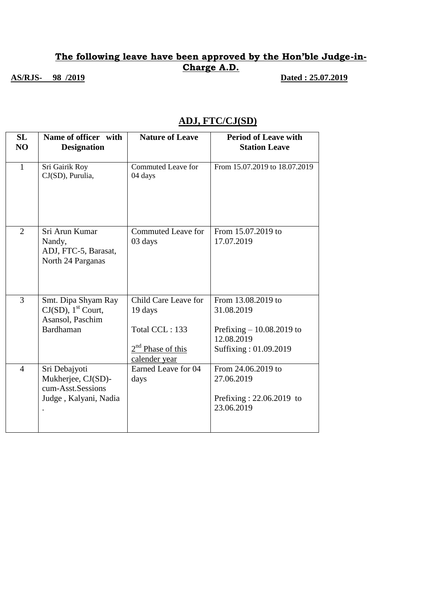### **The following leave have been approved by the Hon'ble Judge-in-Charge A.D. AS/RJS-** 98 /2019 **Dated : 25.07.2019**

## **ADJ, FTC/CJ(SD)**

| SL<br>N <sub>O</sub> | Name of officer with<br><b>Designation</b>                                                | <b>Nature of Leave</b>                                                                              | <b>Period of Leave with</b><br><b>Station Leave</b>                                                   |
|----------------------|-------------------------------------------------------------------------------------------|-----------------------------------------------------------------------------------------------------|-------------------------------------------------------------------------------------------------------|
| $\mathbf{1}$         | Sri Gairik Roy<br>CJ(SD), Purulia,                                                        | Commuted Leave for<br>04 days                                                                       | From 15.07.2019 to 18.07.2019                                                                         |
| $\overline{2}$       | Sri Arun Kumar<br>Nandy,<br>ADJ, FTC-5, Barasat,<br>North 24 Parganas                     | <b>Commuted Leave for</b><br>03 days                                                                | From 15.07.2019 to<br>17.07.2019                                                                      |
| 3                    | Smt. Dipa Shyam Ray<br>$CJ(SD)$ , 1 <sup>st</sup> Court,<br>Asansol, Paschim<br>Bardhaman | Child Care Leave for<br>19 days<br>Total CCL: 133<br>2 <sup>nd</sup> Phase of this<br>calender year | From 13.08.2019 to<br>31.08.2019<br>Prefixing $-10.08,2019$ to<br>12.08.2019<br>Suffixing: 01.09.2019 |
| $\overline{4}$       | Sri Debajyoti<br>Mukherjee, CJ(SD)-<br>cum-Asst.Sessions<br>Judge, Kalyani, Nadia         | Earned Leave for 04<br>days                                                                         | From 24.06.2019 to<br>27.06.2019<br>Prefixing: $22.06.2019$ to<br>23.06.2019                          |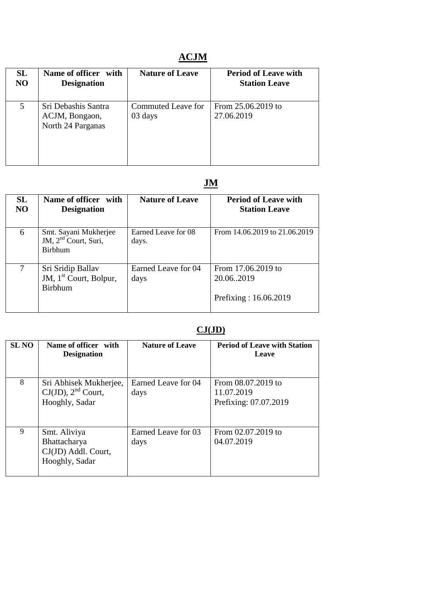# **ACJM**

| SL | Name of officer with                                       | <b>Nature of Leave</b>        | <b>Period of Leave with</b>      |
|----|------------------------------------------------------------|-------------------------------|----------------------------------|
| NO | <b>Designation</b>                                         |                               | <b>Station Leave</b>             |
| 5  | Sri Debashis Santra<br>ACJM, Bongaon,<br>North 24 Parganas | Commuted Leave for<br>03 days | From 25.06.2019 to<br>27.06.2019 |

# **JM**

| <b>SL</b><br><b>NO</b> | Name of officer with<br><b>Designation</b>                        | <b>Nature of Leave</b>       | <b>Period of Leave with</b><br><b>Station Leave</b>       |
|------------------------|-------------------------------------------------------------------|------------------------------|-----------------------------------------------------------|
| 6                      | Smt. Sayani Mukherjee<br>JM, $2nd$ Court, Suri,<br><b>Birbhum</b> | Earned Leave for 08<br>days. | From 14.06.2019 to 21.06.2019                             |
| 7                      | Sri Sridip Ballav<br>JM, $1st$ Court, Bolpur,<br><b>Birbhum</b>   | Earned Leave for 04<br>days  | From 17.06.2019 to<br>20.06.2019<br>Prefixing: 16.06.2019 |

## **CJ(JD)**

| <b>SL NO</b> | Name of officer with<br><b>Designation</b>                            | <b>Nature of Leave</b>      | <b>Period of Leave with Station</b><br>Leave              |
|--------------|-----------------------------------------------------------------------|-----------------------------|-----------------------------------------------------------|
| 8            | Sri Abhisek Mukherjee,<br>$CJ(JD)$ , $2nd$ Court,<br>Hooghly, Sadar   | Earned Leave for 04<br>days | From 08.07.2019 to<br>11.07.2019<br>Prefixing: 07.07.2019 |
| 9            | Smt. Aliviya<br>Bhattacharya<br>CJ(JD) Addl. Court,<br>Hooghly, Sadar | Earned Leave for 03<br>days | From 02.07.2019 to<br>04.07.2019                          |